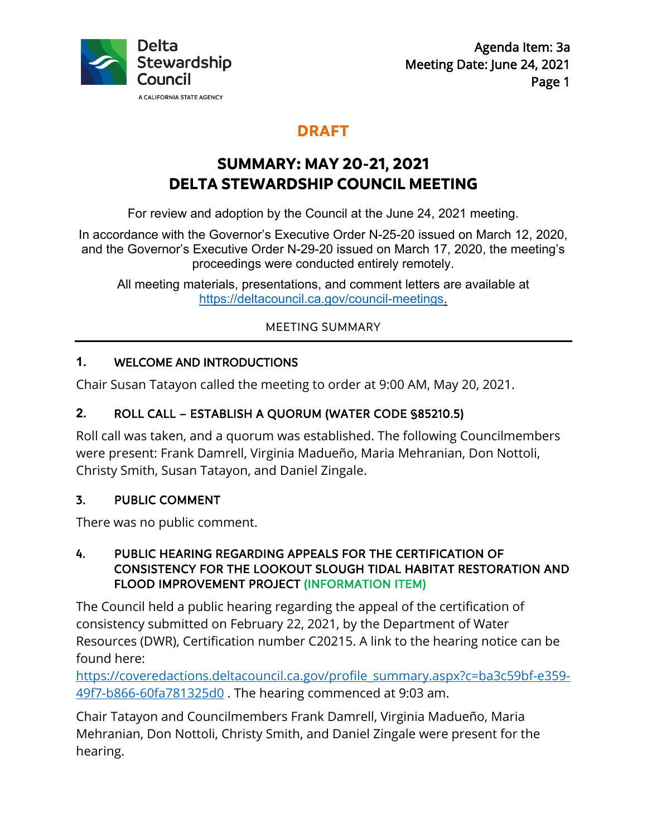

# **DRAFT**

# **SUMMARY: MAY 20-21, 2021 DELTA STEWARDSHIP COUNCIL MEETING**

For review and adoption by the Council at the June 24, 2021 meeting.

In accordance with the Governor's Executive Order N-25-20 issued on March 12, 2020, and the Governor's Executive Order N-29-20 issued on March 17, 2020, the meeting's proceedings were conducted entirely remotely.

All meeting materials, presentations, and comment letters are available at [https://deltacouncil.ca.gov/council-meetings.](https://deltacouncil.ca.gov/council-meetings)

MEETING SUMMARY

## **1.** WELCOME AND INTRODUCTIONS

Chair Susan Tatayon called the meeting to order at 9:00 AM, May 20, 2021.

# **2.** ROLL CALL – ESTABLISH A QUORUM (WATER CODE §85210.5)

Roll call was taken, and a quorum was established. The following Councilmembers were present: Frank Damrell, Virginia Madueño, Maria Mehranian, Don Nottoli, Christy Smith, Susan Tatayon, and Daniel Zingale.

## 3. PUBLIC COMMENT

There was no public comment.

#### 4. PUBLIC HEARING REGARDING APPEALS FOR THE CERTIFICATION OF CONSISTENCY FOR THE LOOKOUT SLOUGH TIDAL HABITAT RESTORATION AND FLOOD IMPROVEMENT PROJECT (INFORMATION ITEM)

The Council held a public hearing regarding the appeal of the certification of consistency submitted on February 22, 2021, by the Department of Water Resources (DWR), Certification number C20215. A link to the hearing notice can be found here:

[https://coveredactions.deltacouncil.ca.gov/profile\\_summary.aspx?c=ba3c59bf-e359-](https://coveredactions.deltacouncil.ca.gov/profile_summary.aspx?c=ba3c59bf-e359-49f7-b866-60fa781325d0) [49f7-b866-60fa781325d0](https://coveredactions.deltacouncil.ca.gov/profile_summary.aspx?c=ba3c59bf-e359-49f7-b866-60fa781325d0) . The hearing commenced at 9:03 am.

Chair Tatayon and Councilmembers Frank Damrell, Virginia Madueño, Maria Mehranian, Don Nottoli, Christy Smith, and Daniel Zingale were present for the hearing.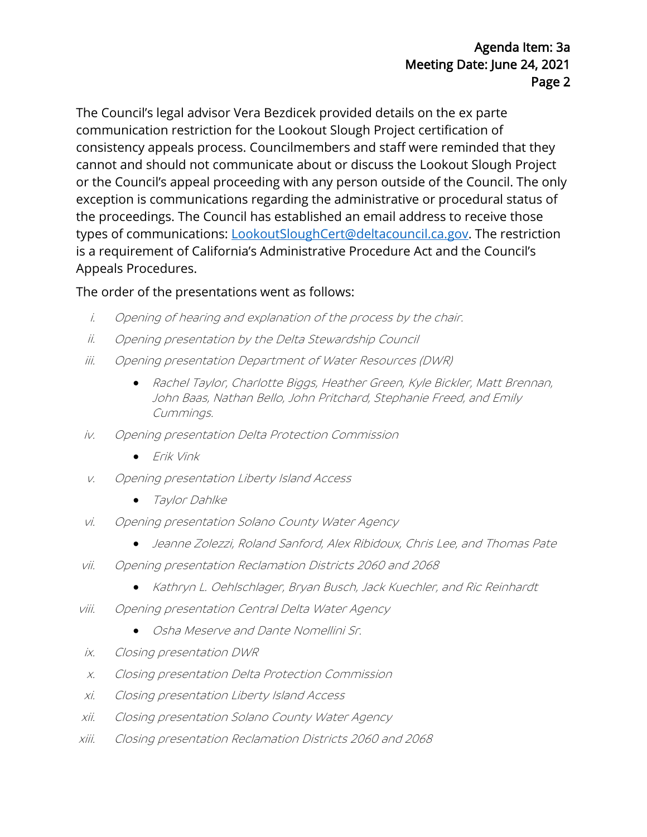The Council's legal advisor Vera Bezdicek provided details on the ex parte communication restriction for the Lookout Slough Project certification of consistency appeals process. Councilmembers and staff were reminded that they cannot and should not communicate about or discuss the Lookout Slough Project or the Council's appeal proceeding with any person outside of the Council. The only exception is communications regarding the administrative or procedural status of the proceedings. The Council has established an email address to receive those types of communications: [LookoutSloughCert@deltacouncil.ca.gov.](mailto:LookoutSloughCert@deltacouncil.ca.gov) The restriction is a requirement of California's Administrative Procedure Act and the Council's Appeals Procedures.

#### The order of the presentations went as follows:

- i. Opening of hearing and explanation of the process by the chair.
- ii. Opening presentation by the Delta Stewardship Council
- iii. Opening presentation Department of Water Resources (DWR)
	- Rachel Taylor, Charlotte Biggs, Heather Green, Kyle Bickler, Matt Brennan, John Baas, Nathan Bello, John Pritchard, Stephanie Freed, and Emily Cummings.
- iv. Opening presentation Delta Protection Commission
	- Erik Vink
- v. Opening presentation Liberty Island Access
	- Taylor Dahlke
- vi. Opening presentation Solano County Water Agency
	- Jeanne Zolezzi, Roland Sanford, Alex Ribidoux, Chris Lee, and Thomas Pate
- vii. Opening presentation Reclamation Districts 2060 and 2068
	- Kathryn L. Oehlschlager, Bryan Busch, Jack Kuechler, and Ric Reinhardt
- viii. Opening presentation Central Delta Water Agency
	- Osha Meserve and Dante Nomellini Sr.
- ix. Closing presentation DWR
- x. Closing presentation Delta Protection Commission
- xi. Closing presentation Liberty Island Access
- xii. Closing presentation Solano County Water Agency
- xiii. Closing presentation Reclamation Districts 2060 and 2068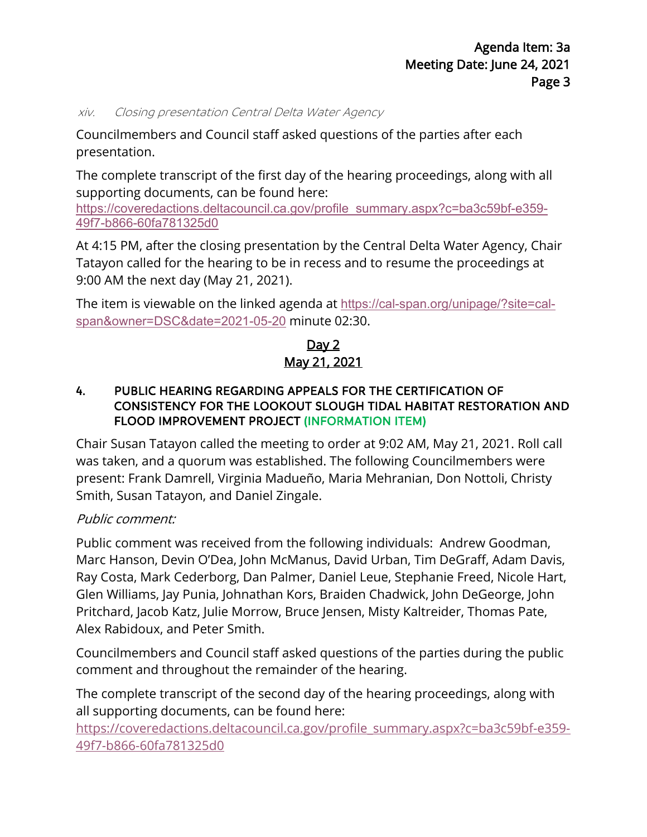#### xiv. Closing presentation Central Delta Water Agency

Councilmembers and Council staff asked questions of the parties after each presentation.

The complete transcript of the first day of the hearing proceedings, along with all supporting documents, can be found here:

[https://coveredactions.deltacouncil.ca.gov/profile\\_summary.aspx?c=ba3c59bf-e359-](https://coveredactions.deltacouncil.ca.gov/profile_summary.aspx?c=ba3c59bf-e359-49f7-b866-60fa781325d0) [49f7-b866-60fa781325d0](https://coveredactions.deltacouncil.ca.gov/profile_summary.aspx?c=ba3c59bf-e359-49f7-b866-60fa781325d0)

At 4:15 PM, after the closing presentation by the Central Delta Water Agency, Chair Tatayon called for the hearing to be in recess and to resume the proceedings at 9:00 AM the next day (May 21, 2021).

The item is viewable on the linked agenda at [https://cal-span.org/unipage/?site=cal](https://cal-span.org/unipage/?site=cal-span&owner=DSC&date=2021-05-20)[span&owner=DSC&date=2021-05-20](https://cal-span.org/unipage/?site=cal-span&owner=DSC&date=2021-05-20) minute 02:30.

Day 2 May 21, 2021

#### 4. PUBLIC HEARING REGARDING APPEALS FOR THE CERTIFICATION OF CONSISTENCY FOR THE LOOKOUT SLOUGH TIDAL HABITAT RESTORATION AND FLOOD IMPROVEMENT PROJECT (INFORMATION ITEM)

Chair Susan Tatayon called the meeting to order at 9:02 AM, May 21, 2021. Roll call was taken, and a quorum was established. The following Councilmembers were present: Frank Damrell, Virginia Madueño, Maria Mehranian, Don Nottoli, Christy Smith, Susan Tatayon, and Daniel Zingale.

## Public comment:

Public comment was received from the following individuals: Andrew Goodman, Marc Hanson, Devin O'Dea, John McManus, David Urban, Tim DeGraff, Adam Davis, Ray Costa, Mark Cederborg, Dan Palmer, Daniel Leue, Stephanie Freed, Nicole Hart, Glen Williams, Jay Punia, Johnathan Kors, Braiden Chadwick, John DeGeorge, John Pritchard, Jacob Katz, Julie Morrow, Bruce Jensen, Misty Kaltreider, Thomas Pate, Alex Rabidoux, and Peter Smith.

Councilmembers and Council staff asked questions of the parties during the public comment and throughout the remainder of the hearing.

The complete transcript of the second day of the hearing proceedings, along with all supporting documents, can be found here:

[https://coveredactions.deltacouncil.ca.gov/profile\\_summary.aspx?c=ba3c59bf-e359-](https://coveredactions.deltacouncil.ca.gov/profile_summary.aspx?c=ba3c59bf-e359-49f7-b866-60fa781325d0) [49f7-b866-60fa781325d0](https://coveredactions.deltacouncil.ca.gov/profile_summary.aspx?c=ba3c59bf-e359-49f7-b866-60fa781325d0)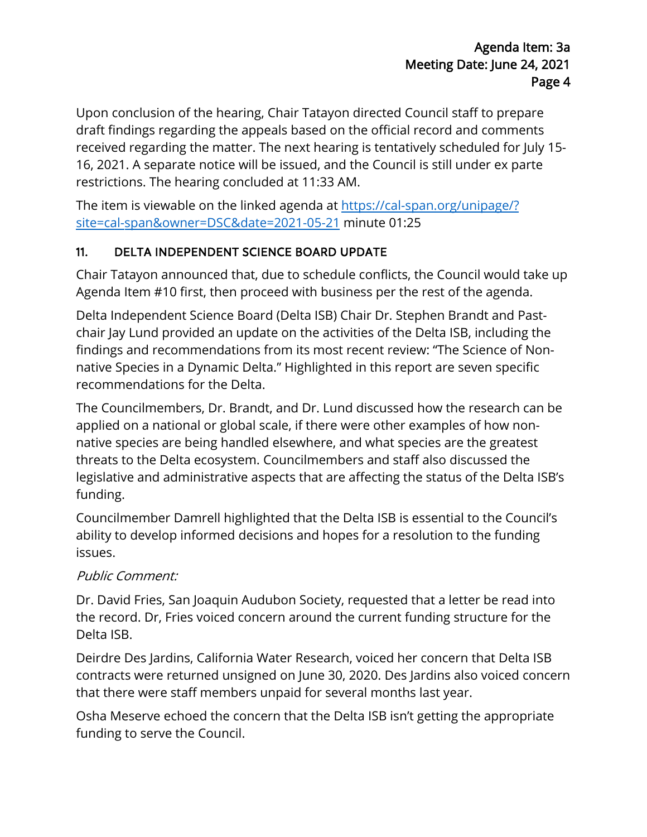Upon conclusion of the hearing, Chair Tatayon directed Council staff to prepare draft findings regarding the appeals based on the official record and comments received regarding the matter. The next hearing is tentatively scheduled for July 15- 16, 2021. A separate notice will be issued, and the Council is still under ex parte restrictions. The hearing concluded at 11:33 AM.

The item is viewable on the linked agenda at [https://cal-span.org/unipage/?](https://cal-span.org/unipage/?site=cal-span&owner=DSC&date=2021-05-21) [site=cal-span&owner=DSC&date=20](https://cal-span.org/unipage/?site=cal-span&owner=DSC&date=2021-05-21)21-05-21 minute 01:25

## 11. DELTA INDEPENDENT SCIENCE BOARD UPDATE

Chair Tatayon announced that, due to schedule conflicts, the Council would take up Agenda Item #10 first, then proceed with business per the rest of the agenda.

Delta Independent Science Board (Delta ISB) Chair Dr. Stephen Brandt and Pastchair Jay Lund provided an update on the activities of the Delta ISB, including the findings and recommendations from its most recent review: "The Science of Nonnative Species in a Dynamic Delta." Highlighted in this report are seven specific recommendations for the Delta.

The Councilmembers, Dr. Brandt, and Dr. Lund discussed how the research can be applied on a national or global scale, if there were other examples of how nonnative species are being handled elsewhere, and what species are the greatest threats to the Delta ecosystem. Councilmembers and staff also discussed the legislative and administrative aspects that are affecting the status of the Delta ISB's funding.

Councilmember Damrell highlighted that the Delta ISB is essential to the Council's ability to develop informed decisions and hopes for a resolution to the funding issues.

## Public Comment:

Dr. David Fries, San Joaquin Audubon Society, requested that a letter be read into the record. Dr, Fries voiced concern around the current funding structure for the Delta ISB.

Deirdre Des Jardins, California Water Research, voiced her concern that Delta ISB contracts were returned unsigned on June 30, 2020. Des Jardins also voiced concern that there were staff members unpaid for several months last year.

Osha Meserve echoed the concern that the Delta ISB isn't getting the appropriate funding to serve the Council.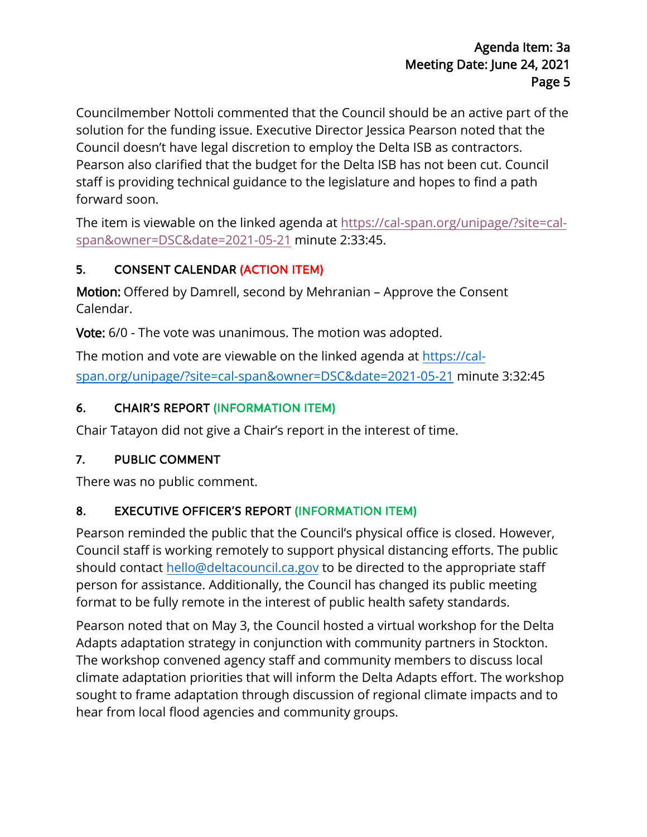Councilmember Nottoli commented that the Council should be an active part of the solution for the funding issue. Executive Director Jessica Pearson noted that the Council doesn't have legal discretion to employ the Delta ISB as contractors. Pearson also clarified that the budget for the Delta ISB has not been cut. Council staff is providing technical guidance to the legislature and hopes to find a path forward soon.

The item is viewable on the linked agenda at [https://cal-span.org/unipage/?site=cal](https://cal-span.org/unipage/?site=cal-span&owner=DSC&date=2021-05-21)[span&owner=DSC&date=2021-05-21](https://cal-span.org/unipage/?site=cal-span&owner=DSC&date=2021-05-21) minute 2:33:45.

## 5. CONSENT CALENDAR (ACTION ITEM)

Motion: Offered by Damrell, second by Mehranian – Approve the Consent Calendar.

Vote: 6/0 - The vote was unanimous. The motion was adopted.

The motion and vote are viewable on the linked agenda at [https://cal](https://cal-span.org/unipage/?site=cal-span&owner=DSC&date=2021-05-21)[span.org/unipage/?site=cal-span&owner=DSC&date=2021-05-21](https://cal-span.org/unipage/?site=cal-span&owner=DSC&date=2021-05-21) minute 3:32:45

## 6. CHAIR'S REPORT (INFORMATION ITEM)

Chair Tatayon did not give a Chair's report in the interest of time.

## 7. PUBLIC COMMENT

There was no public comment.

## 8. EXECUTIVE OFFICER'S REPORT (INFORMATION ITEM)

Pearson reminded the public that the Council's physical office is closed. However, Council staff is working remotely to support physical distancing efforts. The public should contact [hello@deltacouncil.ca.gov](mailto:hello@deltacouncil.ca.gov) to be directed to the appropriate staff person for assistance. Additionally, the Council has changed its public meeting format to be fully remote in the interest of public health safety standards.

Pearson noted that on May 3, the Council hosted a virtual workshop for the Delta Adapts adaptation strategy in conjunction with community partners in Stockton. The workshop convened agency staff and community members to discuss local climate adaptation priorities that will inform the Delta Adapts effort. The workshop sought to frame adaptation through discussion of regional climate impacts and to hear from local flood agencies and community groups.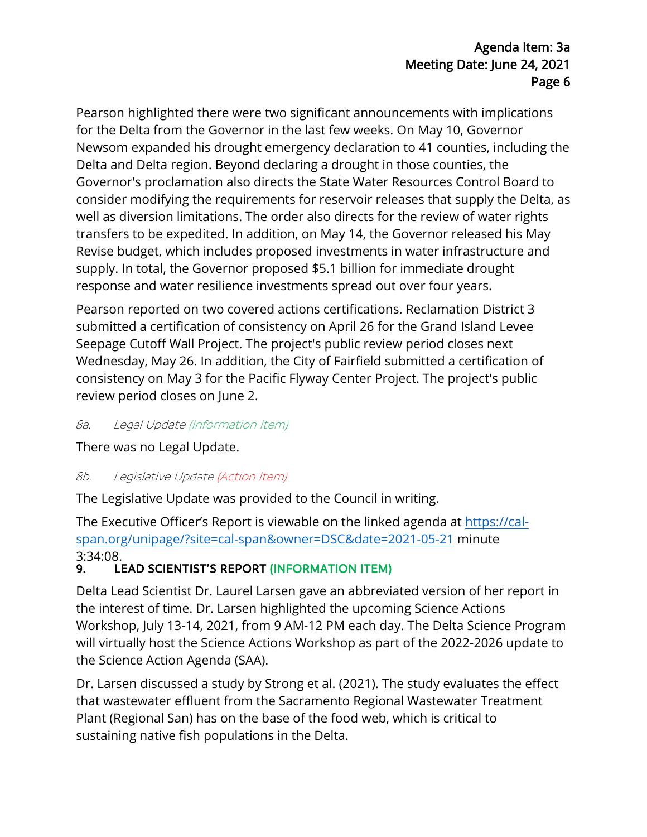Pearson highlighted there were two significant announcements with implications for the Delta from the Governor in the last few weeks. On May 10, Governor Newsom expanded his drought emergency declaration to 41 counties, including the Delta and Delta region. Beyond declaring a drought in those counties, the Governor's proclamation also directs the State Water Resources Control Board to consider modifying the requirements for reservoir releases that supply the Delta, as well as diversion limitations. The order also directs for the review of water rights transfers to be expedited. In addition, on May 14, the Governor released his May Revise budget, which includes proposed investments in water infrastructure and supply. In total, the Governor proposed \$5.1 billion for immediate drought response and water resilience investments spread out over four years.

Pearson reported on two covered actions certifications. Reclamation District 3 submitted a certification of consistency on April 26 for the Grand Island Levee Seepage Cutoff Wall Project. The project's public review period closes next Wednesday, May 26. In addition, the City of Fairfield submitted a certification of consistency on May 3 for the Pacific Flyway Center Project. The project's public review period closes on June 2.

#### 8a. Legal Update (Information Item)

There was no Legal Update.

#### 8b. Legislative Update (Action Item)

The Legislative Update was provided to the Council in writing.

The Executive Officer's Report is viewable on the linked agenda at [https://cal](https://cal-span.org/unipage/?site=cal-span&owner=DSC&date=2021-05-21)[span.org/unipage/?site=cal-span&owner=DSC&date=2021-05-21](https://cal-span.org/unipage/?site=cal-span&owner=DSC&date=2021-05-21) minute 3:34:08.<br>**9. Li** 

## LEAD SCIENTIST'S REPORT (INFORMATION ITEM)

Delta Lead Scientist Dr. Laurel Larsen gave an abbreviated version of her report in the interest of time. Dr. Larsen highlighted the upcoming Science Actions Workshop, July 13-14, 2021, from 9 AM-12 PM each day. The Delta Science Program will virtually host the Science Actions Workshop as part of the 2022-2026 update to the Science Action Agenda (SAA).

Dr. Larsen discussed a study by Strong et al. (2021). The study evaluates the effect that wastewater effluent from the Sacramento Regional Wastewater Treatment Plant (Regional San) has on the base of the food web, which is critical to sustaining native fish populations in the Delta.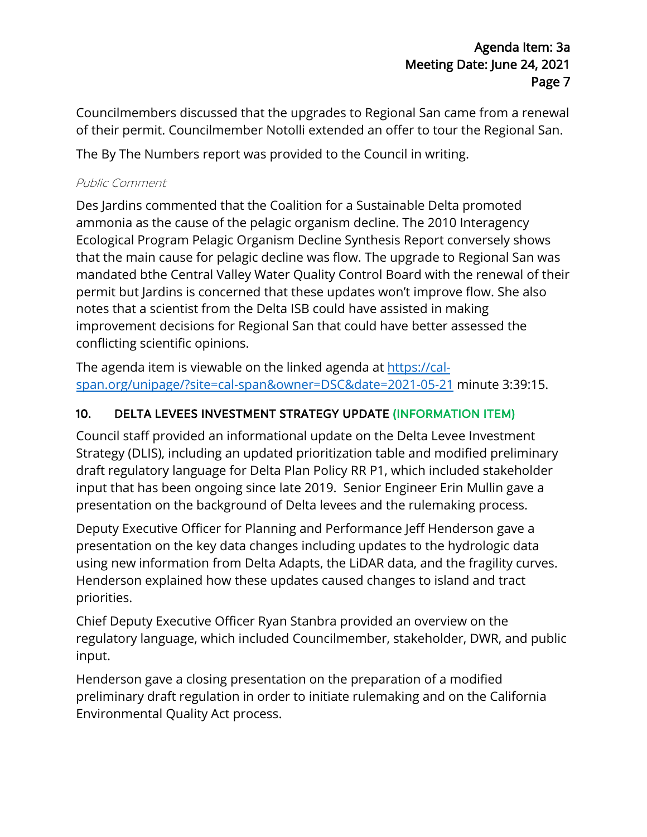Councilmembers discussed that the upgrades to Regional San came from a renewal of their permit. Councilmember Notolli extended an offer to tour the Regional San.

The By The Numbers report was provided to the Council in writing.

#### Public Comment

Des Jardins commented that the Coalition for a Sustainable Delta promoted ammonia as the cause of the pelagic organism decline. The 2010 Interagency Ecological Program Pelagic Organism Decline Synthesis Report conversely shows that the main cause for pelagic decline was flow. The upgrade to Regional San was mandated bthe Central Valley Water Quality Control Board with the renewal of their permit but Jardins is concerned that these updates won't improve flow. She also notes that a scientist from the Delta ISB could have assisted in making improvement decisions for Regional San that could have better assessed the conflicting scientific opinions.

The agenda item is viewable on the linked agenda at [https://cal](https://cal-span.org/unipage/?site=cal-span&owner=DSC&date=2021-05-21)[span.org/unipage/?site=cal-span&owner=DSC&date=2021-05-21](https://cal-span.org/unipage/?site=cal-span&owner=DSC&date=2021-05-21) minute 3:39:15.

# 10. DELTA LEVEES INVESTMENT STRATEGY UPDATE (INFORMATION ITEM)

Council staff provided an informational update on the Delta Levee Investment Strategy (DLIS), including an updated prioritization table and modified preliminary draft regulatory language for Delta Plan Policy RR P1, which included stakeholder input that has been ongoing since late 2019. Senior Engineer Erin Mullin gave a presentation on the background of Delta levees and the rulemaking process.

Deputy Executive Officer for Planning and Performance Jeff Henderson gave a presentation on the key data changes including updates to the hydrologic data using new information from Delta Adapts, the LiDAR data, and the fragility curves. Henderson explained how these updates caused changes to island and tract priorities.

Chief Deputy Executive Officer Ryan Stanbra provided an overview on the regulatory language, which included Councilmember, stakeholder, DWR, and public input.

Henderson gave a closing presentation on the preparation of a modified preliminary draft regulation in order to initiate rulemaking and on the California Environmental Quality Act process.